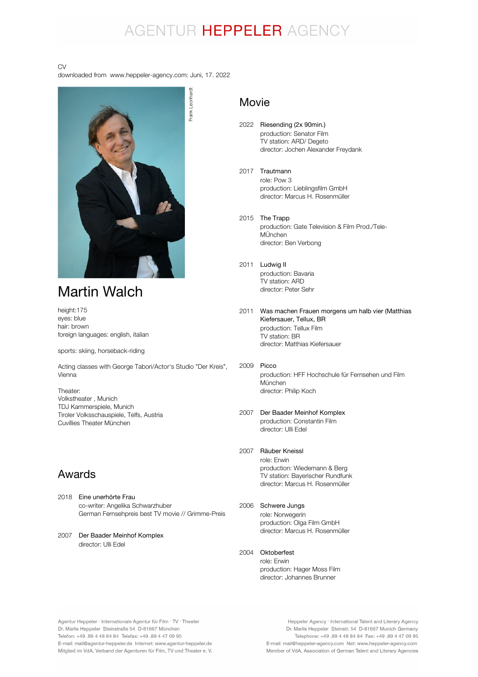# AGENTUR HEPPELER AGENCY

#### CV

downloaded from www.heppeler-agency.com: Juni, 17. 2022



## Martin Walch

height:175 eyes: blue hair: brown foreign languages: english, italian

sports: skiing, horseback-riding

Acting classes with George Tabori/Actor's Studio "Der Kreis", Vienna

Theater: Volkstheater , Munich TDJ Kammerspiele, Munich Tiroler Volksschauspiele, Telfs, Austria Cuvillies Theater München

## Awards

- 2018 Eine unerhörte Frau co-writer: Angelika Schwarzhuber German Fernsehpreis best TV movie // Grimme-Preis
- 2007 Der Baader Meinhof Komplex director: Ulli Edel

### Movie

- 2022 Riesending (2x 90min.) production: Senator Film TV station: ARD/ Degeto director: Jochen Alexander Freydank
- 2017 Trautmann role: Pow 3 production: Lieblingsfilm GmbH director: Marcus H. Rosenmüller
- 2015 The Trapp production: Gate Television & Film Prod./Tele-MÜnchen director: Ben Verbong
- 2011 Ludwig II production: Bavaria TV station: ARD director: Peter Sehr
- 2011 Was machen Frauen morgens um halb vier (Matthias production: Tellux Film TV station: BR director: Matthias Kiefersauer Kiefersauer, Tellux, BR
- 2009 production: HFF Hochschule für Fernsehen und Film München director: Philip Koch Picco
- 2007 Der Baader Meinhof Komplex production: Constantin Film director: Ulli Edel
- 2007 Räuber Kneissl

role: Erwin production: Wiedemann & Berg TV station: Bayerischer Rundfunk director: Marcus H. Rosenmüller

2006 Schwere Jungs

role: Norwegerin production: Olga Film GmbH director: Marcus H. Rosenmüller

### 2004 Oktoberfest

role: Erwin production: Hager Moss Film director: Johannes Brunner

Agentur Heppeler · Internationale Agentur für Film · TV · Theater Dr. Marlis Heppeler Steinstraße 54 D-81667 München Telefon: +49.89 4 48 84 84 Telefax: +49.89 4 47 09 95 E-mail: mail@agentur-heppeler.de Internet: www.agentur-heppeler.de Mitglied im VdA, Verband der Agenturen für Film, TV und Theater e. V.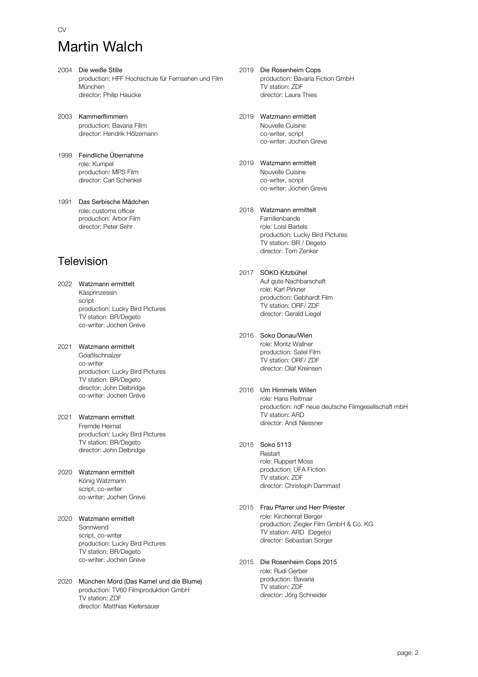2004 Die weiße Stille production: HFF Hochschule für Fernsehen und Film München director: Philip Haucke

2003 Kammerflimmern production: Bavaria Fillm director: Hendrik Hölzemann

- 1999 Feindliche Übernahme role: Kumpel production: MPS Film director: Carl Schenkel
- 1991 Das Serbische Mädchen role: customs officer production: Arbor Film director: Peter Sehr

## Television

- 2022 Watzmann ermittelt Käsprinzessin script production: Lucky Bird Pictures TV station: BR/Degeto co-writer: Jochen Greve
- 2021 Watzmann ermittelt Goaßlschnalzer co-writer production: Lucky Bird Pictures TV station: BR/Degeto director: John Delbridge co-writer: Jochen Greve
- 2021 Watzmann ermittelt Fremde Heimat production: Lucky Bird Pictures TV station: BR/Degeto director: John Delbridge
- 2020 Watzmann ermittelt König Watzmann script, co-writer co-writer: Jochen Greve
- 2020 Watzmann ermittelt Sonnwend script, co-writer production: Lucky Bird Pictures TV station: BR/Degeto co-writer: Jochen Greve
- 2020 München Mord (Das Kamel und die Blume) production: TV60 Filmproduktion GmbH TV station: ZDF director: Matthias Kiefersauer
- 2019 Die Rosenheim Cops production: Bavaria Fiction GmbH TV station: ZDF director: Laura Thies
- 2019 Watzmann ermittelt Nouvelle Cuisine co-writer, script co-writer: Jochen Greve
- 2019 Watzmann ermittelt Nouvelle Cuisine co-writer, script co-writer: Jochen Greve
- 2018 Watzmann ermittelt Familienbande role: Loisl Bartels production: Lucky Bird Pictures TV station: BR / Degeto director: Tom Zenker
- 2017 SOKO Kitzbühel Auf gute Nachbarschaft role: Karl Pirkner production: Gebhardt Film TV station: ORF/ ZDF director: Gerald Liegel
- 2016 Soko Donau/Wien role: Moritz Wallner production: Satel Film TV station: ORF/ ZDF director: Olaf Kreinsen
- 2016 Um Himmels Willen role: Hans Reitmair production: ndF neue deutsche Filmgesellschaft mbH TV station: ARD director: Andi Niessner

#### 2015 Soko 5113 Restart

role: Ruppert Moss production: UFA Fiction TV station: ZDF director: Christoph Dammast

- 2015 Frau Pfarrer und Herr Priester role: Kirchenrat Berger production: Ziegler Film GmbH & Co. KG TV station: ARD (Degeto) director: Sebastian Sorger
- 2015 Die Rosenheim Cops 2015 role: Rudi Gerber production: Bavaria TV station: ZDF director: Jörg Schneider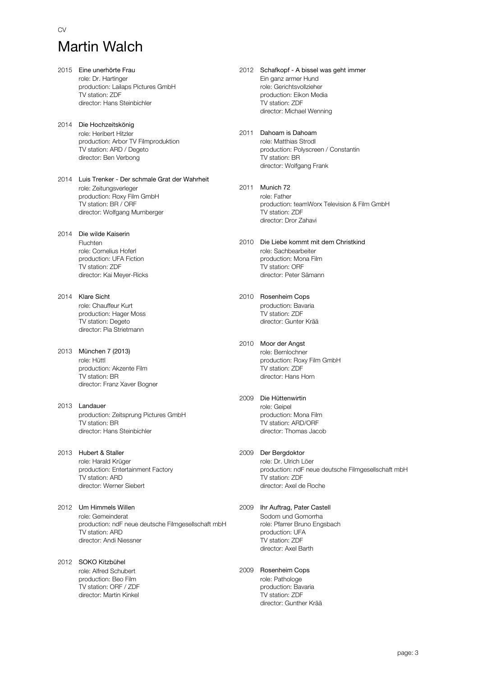CV

- 2015 Eine unerhörte Frau role: Dr. Hartinger production: Lailaps Pictures GmbH TV station: ZDF director: Hans Steinbichler
- 2014 Die Hochzeitskönig role: Heribert Hitzler production: Arbor TV Filmproduktion TV station: ARD / Degeto director: Ben Verbong
- 2014 Luis Trenker Der schmale Grat der Wahrheit role: Zeitungsverleger production: Roxy Film GmbH TV station: BR / ORF director: Wolfgang Murnberger
- 2014 Die wilde Kaiserin Fluchten role: Cornelius Hoferl production: UFA Fiction TV station: ZDF director: Kai Meyer-Ricks
- 2014 Klare Sicht role: Chauffeur Kurt production: Hager Moss TV station: Degeto director: Pia Strietmann
- 2013 München 7 (2013) role: Hüttl production: Akzente Film TV station: BR director: Franz Xaver Bogner
- 2013 Landauer production: Zeitsprung Pictures GmbH TV station: BR director: Hans Steinbichler
- 2013 Hubert & Staller role: Harald Krüger production: Entertainment Factory TV station: ARD director: Werner Siebert
- 2012 Um Himmels Willen role: Gemeinderat production: ndF neue deutsche Filmgesellschaft mbH TV station: ARD director: Andi Niessner
- 2012 SOKO Kitzbühel role: Alfred Schubert production: Beo Film TV station: ORF / ZDF director: Martin Kinkel
- 2012 Schafkopf A bissel was geht immer Ein ganz armer Hund role: Gerichtsvollzieher production: Eikon Media TV station: ZDF director: Michael Wenning
- 2011 Dahoam is Dahoam role: Matthias Strodl production: Polyscreen / Constantin TV station: BR director: Wolfgang Frank
- 2011 Munich 72 role: Father production: teamWorx Television & Film GmbH TV station: ZDF director: Dror Zahavi
- 2010 Die Liebe kommt mit dem Christkind role: Sachbearbeiter production: Mona Film TV station: ORF director: Peter Sämann
- 2010 Rosenheim Cops production: Bavaria TV station: ZDF director: Gunter Krää
- 2010 Moor der Angst role: Bernlochner production: Roxy Film GmbH TV station: ZDF director: Hans Horn
- 2009 Die Hüttenwirtin role: Geipel production: Mona Film TV station: ARD/ORF director: Thomas Jacob
- 2009 Der Bergdoktor role: Dr. Ulrich Löer production: ndF neue deutsche Filmgesellschaft mbH TV station: ZDF director: Axel de Roche
- 2009 Ihr Auftrag, Pater Castell Sodom und Gomorrha role: Pfarrer Bruno Engsbach production: UFA TV station: ZDF director: Axel Barth
- 2009 Rosenheim Cops role: Pathologe production: Bavaria TV station: ZDF director: Gunther Krää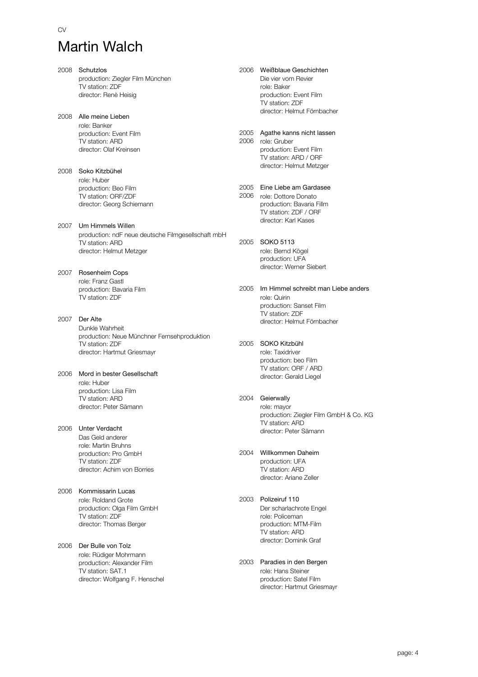CV

2008 Schutzlos production: Ziegler Film München TV station: ZDF director: Renè Heisig 2008 Alle meine Lieben role: Banker production: Event Film TV station: ARD director: Olaf Kreinsen

- 2008 Soko Kitzbühel role: Huber production: Beo Film TV station: ORF/ZDF director: Georg Schiemann
- 2007 Um Himmels Willen production: ndF neue deutsche Filmgesellschaft mbH TV station: ARD director: Helmut Metzger
- 2007 Rosenheim Cops role: Franz Gastl production: Bavaria Film TV station: ZDF
- 2007 Der Alte Dunkle Wahrheit production: Neue Münchner Fernsehproduktion TV station: ZDF director: Hartmut Griesmayr
- 2006 Mord in bester Gesellschaft role: Huber production: Lisa Film TV station: ARD director: Peter Sämann
- 2006 Unter Verdacht Das Geld anderer role: Martin Bruhns production: Pro GmbH TV station: ZDF director: Achim von Borries
- 2006 Kommissarin Lucas role: Roldand Grote production: Olga Film GmbH TV station: ZDF director: Thomas Berger
- 2006 Der Bulle von Tolz role: Rüdiger Mohrmann production: Alexander Film TV station: SAT.1 director: Wolfgang F. Henschel

#### 2006 Weißblaue Geschichten

Die vier vom Revier role: Baker production: Event Film TV station: ZDF director: Helmut Förnbacher

#### 2005 Agathe kanns nicht lassen

2006 role: Gruber production: Event Film TV station: ARD / ORF director: Helmut Metzger

#### 2005 Eine Liebe am Gardasee

- 2006 role: Dottore Donato production: Bavaria Fillm TV station: ZDF / ORF director: Karl Kases
- 2005 SOKO 5113

role: Bernd Kögel production: UFA director: Werner Siebert

2005 Im Himmel schreibt man Liebe anders role: Quirin production: Sanset Film TV station: ZDF director: Helmut Förnbacher

#### 2005 SOKO Kitzbühl

role: Taxidriver production: beo Film TV station: ORF / ARD director: Gerald Liegel

#### 2004 Geierwally

role: mayor production: Ziegler Film GmbH & Co. KG TV station: ARD director: Peter Sämann

### 2004 Willkommen Daheim

production: UFA TV station: ARD director: Ariane Zeller

#### 2003 Polizeiruf 110

Der scharlachrote Engel role: Policeman production: MTM-Film TV station: ARD director: Dominik Graf

#### 2003 Paradies in den Bergen role: Hans Steiner

production: Satel Film director: Hartmut Griesmayr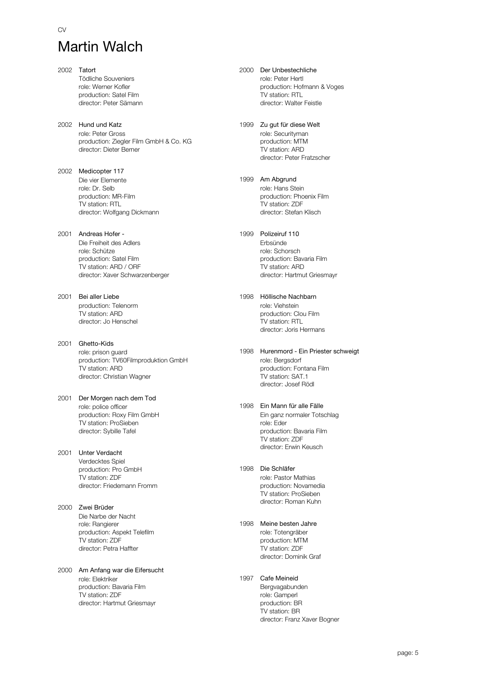CV

2002 Tatort Tödliche Souveniers role: Werner Kofler production: Satel Film director: Peter Sämann

2002 Hund und Katz role: Peter Gross production: Ziegler Film GmbH & Co. KG director: Dieter Berner

2002 Medicopter 117 Die vier Elemente role: Dr. Selb production: MR-Film TV station: RTL director: Wolfgang Dickmann

2001 Andreas Hofer - Die Freiheit des Adlers role: Schütze production: Satel Film TV station: ARD / ORF director: Xaver Schwarzenberger

2001 Bei aller Liebe production: Telenorm TV station: ARD director: Jo Henschel

2001 Ghetto-Kids role: prison guard production: TV60Filmproduktion GmbH TV station: ARD director: Christian Wagner

2001 Der Morgen nach dem Tod role: police officer production: Roxy Film GmbH TV station: ProSieben director: Sybille Tafel

#### 2001 Unter Verdacht Verdecktes Spiel production: Pro GmbH TV station: ZDF director: Friedemann Fromm

2000 Zwei Brüder Die Narbe der Nacht role: Rangierer production: Aspekt Telefilm TV station: ZDF director: Petra Haffter

#### 2000 Am Anfang war die Eifersucht role: Elektriker production: Bavaria Film TV station: ZDF director: Hartmut Griesmayr

2000 Der Unbestechliche role: Peter Hertl production: Hofmann & Voges TV station: RTL director: Walter Feistle

1999 Zu gut für diese Welt role: Securityman production: MTM TV station: ARD director: Peter Fratzscher

1999 Am Abgrund role: Hans Stein production: Phoenix Film TV station: ZDF director: Stefan Klisch

1999 Polizeiruf 110 Erbsünde

role: Schorsch production: Bavaria Film TV station: ARD director: Hartmut Griesmayr

1998 Höllische Nachbarn role: Viehstein production: Clou Film .<br>TV station: RTL director: Joris Hermans

1998 Hurenmord - Ein Priester schweigt role: Bergsdorf production: Fontana Film TV station: SAT.1 director: Josef Rödl

#### 1998 Ein Mann für alle Fälle Ein ganz normaler Totschlag role: Eder production: Bavaria Film TV station: ZDF director: Erwin Keusch

#### 1998 Die Schläfer role: Pastor Mathias production: Novamedia TV station: ProSieben director: Roman Kuhn

1998 Meine besten Jahre role: Totengräber production: MTM TV station: ZDF director: Dominik Graf

1997 Cafe Meineid

Bergvagabunden role: Gamperl production: BR TV station: BR director: Franz Xaver Bogner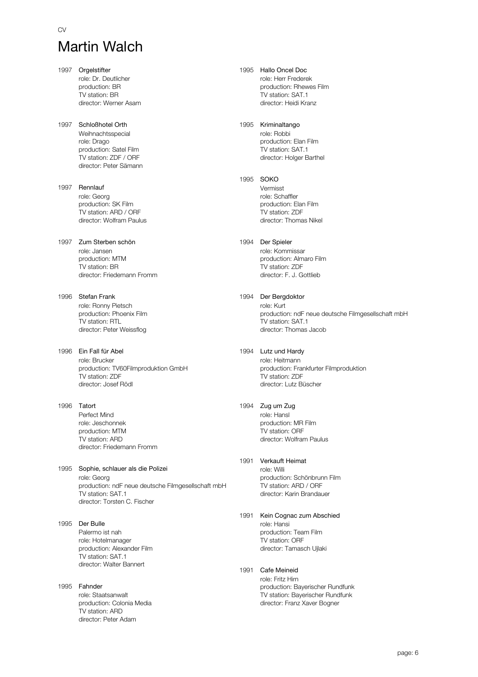1997 Orgelstifter role: Dr. Deutlicher production: BR TV station: BR director: Werner Asam

1997 Schloßhotel Orth Weihnachtsspecial role: Drago production: Satel Film TV station: ZDF / ORF director: Peter Sämann

- 1997 Rennlauf role: Georg production: SK Film TV station: ARD / ORF director: Wolfram Paulus
- 1997 Zum Sterben schön role: Jansen production: MTM TV station: BR director: Friedemann Fromm
- 1996 Stefan Frank role: Ronny Pietsch production: Phoenix Film TV station: RTL director: Peter Weissflog
- 1996 Ein Fall für Abel role: Brucker production: TV60Filmproduktion GmbH TV station: ZDF director: Josef Rödl
- 1996 Tatort Perfect Mind role: Jeschonnek production: MTM TV station: ARD director: Friedemann Fromm

### 1995 Sophie, schlauer als die Polizei role: Georg production: ndF neue deutsche Filmgesellschaft mbH

TV station: SAT.1 director: Torsten C. Fischer

### 1995 Der Bulle

Palermo ist nah role: Hotelmanager production: Alexander Film TV station: SAT.1 director: Walter Bannert

### 1995 Fahnder

role: Staatsanwalt production: Colonia Media TV station: ARD director: Peter Adam

1995 Hallo Oncel Doc role: Herr Frederek

production: Rhewes Film TV station: SAT.1 director: Heidi Kranz

1995 Kriminaltango role: Robbi production: Elan Film TV station: SAT.1 director: Holger Barthel

1995 SOKO Vermisst role: Schaffler production: Elan Film TV station: ZDF director: Thomas Nikel

1994 Der Spieler role: Kommissar production: Almaro Film TV station: ZDF director: F. J. Gottlieb

1994 Der Bergdoktor role: Kurt production: ndF neue deutsche Filmgesellschaft mbH TV station: SAT.1 director: Thomas Jacob

- 1994 Lutz und Hardy role: Heitmann production: Frankfurter Filmproduktion TV station: ZDF director: Lutz Büscher
- 1994 Zug um Zug role: Hansl production: MR Film TV station: ORF director: Wolfram Paulus

1991 Verkauft Heimat role: Willi production: Schönbrunn Film TV station: ARD / ORF director: Karin Brandauer

1991 Kein Cognac zum Abschied role: Hansi production: Team Film TV station: ORF director: Tamasch Ujlaki

### 1991 Cafe Meineid

role: Fritz Hirn production: Bayerischer Rundfunk TV station: Bayerischer Rundfunk director: Franz Xaver Bogner